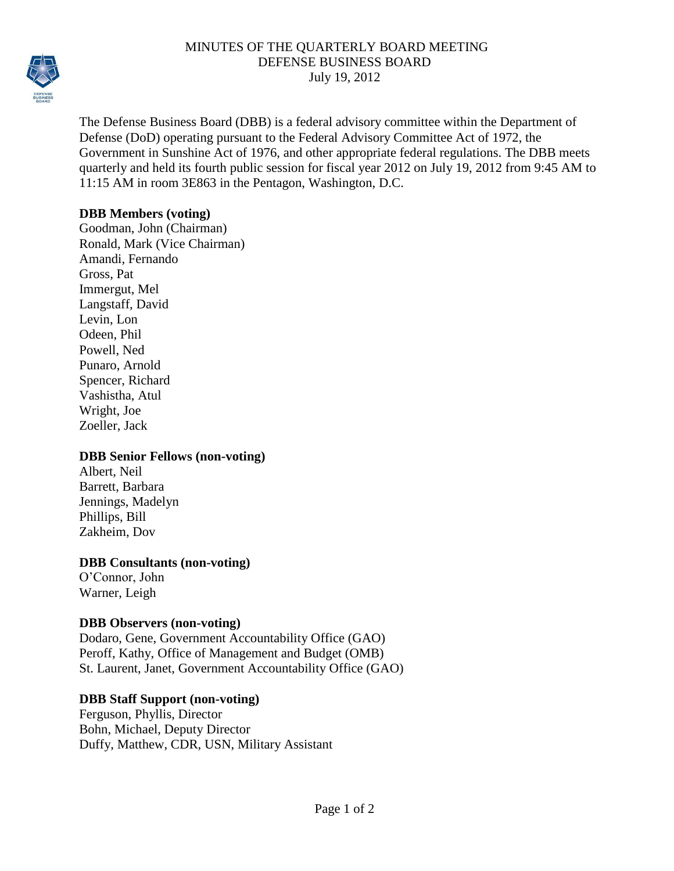

### MINUTES OF THE QUARTERLY BOARD MEETING DEFENSE BUSINESS BOARD July 19, 2012

The Defense Business Board (DBB) is a federal advisory committee within the Department of Defense (DoD) operating pursuant to the Federal Advisory Committee Act of 1972, the Government in Sunshine Act of 1976, and other appropriate federal regulations. The DBB meets quarterly and held its fourth public session for fiscal year 2012 on July 19, 2012 from 9:45 AM to 11:15 AM in room 3E863 in the Pentagon, Washington, D.C.

### **DBB Members (voting)**

Goodman, John (Chairman) Ronald, Mark (Vice Chairman) Amandi, Fernando Gross, Pat Immergut, Mel Langstaff, David Levin, Lon Odeen, Phil Powell, Ned Punaro, Arnold Spencer, Richard Vashistha, Atul Wright, Joe Zoeller, Jack

### **DBB Senior Fellows (non-voting)**

Albert, Neil Barrett, Barbara Jennings, Madelyn Phillips, Bill Zakheim, Dov

# **DBB Consultants (non-voting)**

O'Connor, John Warner, Leigh

# **DBB Observers (non-voting)**

Dodaro, Gene, Government Accountability Office (GAO) Peroff, Kathy, Office of Management and Budget (OMB) St. Laurent, Janet, Government Accountability Office (GAO)

# **DBB Staff Support (non-voting)**

Ferguson, Phyllis, Director Bohn, Michael, Deputy Director Duffy, Matthew, CDR, USN, Military Assistant